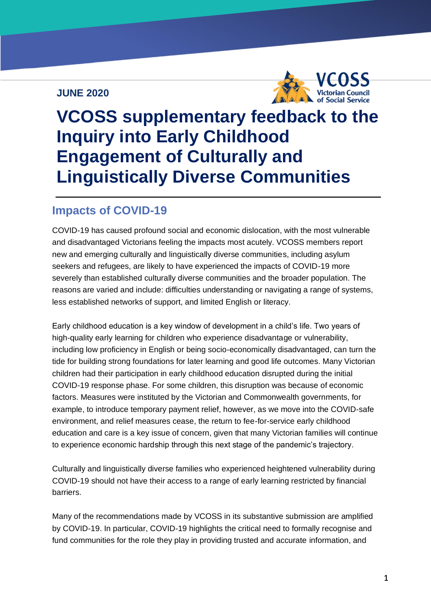#### **JUNE 2020**



**vcoss.org.au**

# **VCOSS supplementary feedback to the Inquiry into Early Childhood Engagement of Culturally and Linguistically Diverse Communities**

## **Impacts of COVID-19**

COVID-19 has caused profound social and economic dislocation, with the most vulnerable and disadvantaged Victorians feeling the impacts most acutely. VCOSS members report new and emerging culturally and linguistically diverse communities, including asylum seekers and refugees, are likely to have experienced the impacts of COVID-19 more severely than established culturally diverse communities and the broader population. The reasons are varied and include: difficulties understanding or navigating a range of systems, less established networks of support, and limited English or literacy.

Early childhood education is a key window of development in a child's life. Two years of high-quality early learning for children who experience disadvantage or vulnerability, including low proficiency in English or being socio-economically disadvantaged, can turn the tide for building strong foundations for later learning and good life outcomes. Many Victorian children had their participation in early childhood education disrupted during the initial COVID-19 response phase. For some children, this disruption was because of economic factors. Measures were instituted by the Victorian and Commonwealth governments, for example, to introduce temporary payment relief, however, as we move into the COVID-safe environment, and relief measures cease, the return to fee-for-service early childhood education and care is a key issue of concern, given that many Victorian families will continue to experience economic hardship through this next stage of the pandemic's trajectory.

Culturally and linguistically diverse families who experienced heightened vulnerability during COVID-19 should not have their access to a range of early learning restricted by financial barriers.

Many of the recommendations made by VCOSS in its substantive submission are amplified by COVID-19. In particular, COVID-19 highlights the critical need to formally recognise and fund communities for the role they play in providing trusted and accurate information, and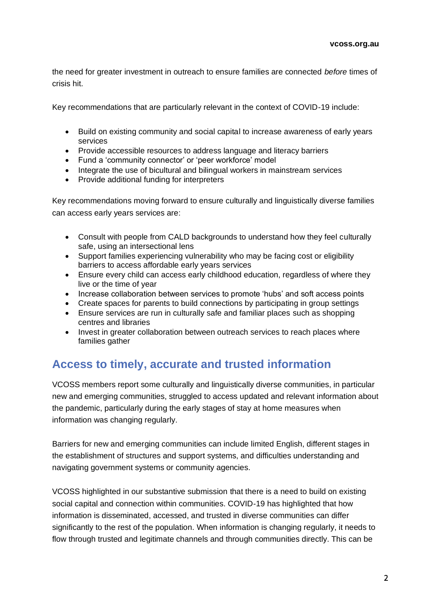the need for greater investment in outreach to ensure families are connected *before* times of crisis hit.

Key recommendations that are particularly relevant in the context of COVID-19 include:

- Build on existing community and social capital to increase awareness of early years services
- Provide accessible resources to address language and literacy barriers
- Fund a 'community connector' or 'peer workforce' model
- Integrate the use of bicultural and bilingual workers in mainstream services
- Provide additional funding for interpreters

Key recommendations moving forward to ensure culturally and linguistically diverse families can access early years services are:

- Consult with people from CALD backgrounds to understand how they feel culturally safe, using an intersectional lens
- Support families experiencing vulnerability who may be facing cost or eligibility barriers to access affordable early years services
- Ensure every child can access early childhood education, regardless of where they live or the time of year
- Increase collaboration between services to promote 'hubs' and soft access points
- Create spaces for parents to build connections by participating in group settings
- Ensure services are run in culturally safe and familiar places such as shopping centres and libraries
- Invest in greater collaboration between outreach services to reach places where families gather

# **Access to timely, accurate and trusted information**

VCOSS members report some culturally and linguistically diverse communities, in particular new and emerging communities, struggled to access updated and relevant information about the pandemic, particularly during the early stages of stay at home measures when information was changing regularly.

Barriers for new and emerging communities can include limited English, different stages in the establishment of structures and support systems, and difficulties understanding and navigating government systems or community agencies.

VCOSS highlighted in our substantive submission that there is a need to build on existing social capital and connection within communities. COVID-19 has highlighted that how information is disseminated, accessed, and trusted in diverse communities can differ significantly to the rest of the population. When information is changing regularly, it needs to flow through trusted and legitimate channels and through communities directly. This can be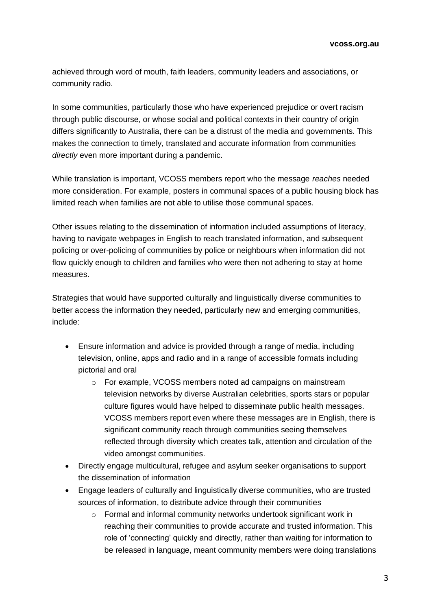achieved through word of mouth, faith leaders, community leaders and associations, or community radio.

In some communities, particularly those who have experienced prejudice or overt racism through public discourse, or whose social and political contexts in their country of origin differs significantly to Australia, there can be a distrust of the media and governments. This makes the connection to timely, translated and accurate information from communities *directly* even more important during a pandemic.

While translation is important, VCOSS members report who the message *reaches* needed more consideration. For example, posters in communal spaces of a public housing block has limited reach when families are not able to utilise those communal spaces.

Other issues relating to the dissemination of information included assumptions of literacy, having to navigate webpages in English to reach translated information, and subsequent policing or over-policing of communities by police or neighbours when information did not flow quickly enough to children and families who were then not adhering to stay at home measures.

Strategies that would have supported culturally and linguistically diverse communities to better access the information they needed, particularly new and emerging communities, include:

- Ensure information and advice is provided through a range of media, including television, online, apps and radio and in a range of accessible formats including pictorial and oral
	- o For example, VCOSS members noted ad campaigns on mainstream television networks by diverse Australian celebrities, sports stars or popular culture figures would have helped to disseminate public health messages. VCOSS members report even where these messages are in English, there is significant community reach through communities seeing themselves reflected through diversity which creates talk, attention and circulation of the video amongst communities.
- Directly engage multicultural, refugee and asylum seeker organisations to support the dissemination of information
- Engage leaders of culturally and linguistically diverse communities, who are trusted sources of information, to distribute advice through their communities
	- o Formal and informal community networks undertook significant work in reaching their communities to provide accurate and trusted information. This role of 'connecting' quickly and directly, rather than waiting for information to be released in language, meant community members were doing translations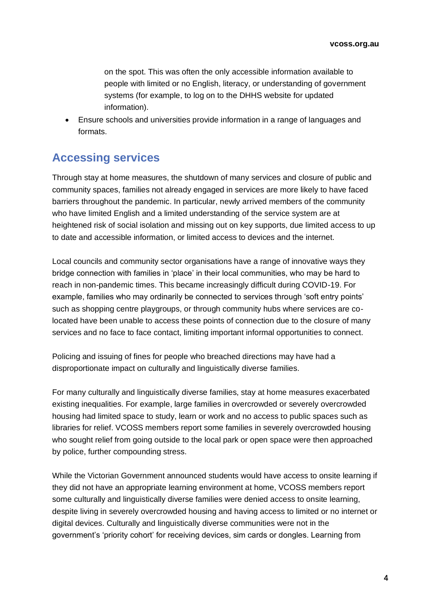on the spot. This was often the only accessible information available to people with limited or no English, literacy, or understanding of government systems (for example, to log on to the DHHS website for updated information).

• Ensure schools and universities provide information in a range of languages and formats.

# **Accessing services**

Through stay at home measures, the shutdown of many services and closure of public and community spaces, families not already engaged in services are more likely to have faced barriers throughout the pandemic. In particular, newly arrived members of the community who have limited English and a limited understanding of the service system are at heightened risk of social isolation and missing out on key supports, due limited access to up to date and accessible information, or limited access to devices and the internet.

Local councils and community sector organisations have a range of innovative ways they bridge connection with families in 'place' in their local communities, who may be hard to reach in non-pandemic times. This became increasingly difficult during COVID-19. For example, families who may ordinarily be connected to services through 'soft entry points' such as shopping centre playgroups, or through community hubs where services are colocated have been unable to access these points of connection due to the closure of many services and no face to face contact, limiting important informal opportunities to connect.

Policing and issuing of fines for people who breached directions may have had a disproportionate impact on culturally and linguistically diverse families.

For many culturally and linguistically diverse families, stay at home measures exacerbated existing inequalities. For example, large families in overcrowded or severely overcrowded housing had limited space to study, learn or work and no access to public spaces such as libraries for relief. VCOSS members report some families in severely overcrowded housing who sought relief from going outside to the local park or open space were then approached by police, further compounding stress.

While the Victorian Government announced students would have access to onsite learning if they did not have an appropriate learning environment at home, VCOSS members report some culturally and linguistically diverse families were denied access to onsite learning, despite living in severely overcrowded housing and having access to limited or no internet or digital devices. Culturally and linguistically diverse communities were not in the government's 'priority cohort' for receiving devices, sim cards or dongles. Learning from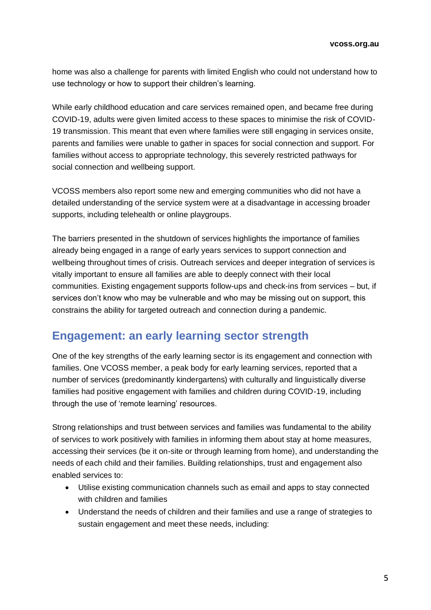home was also a challenge for parents with limited English who could not understand how to use technology or how to support their children's learning.

While early childhood education and care services remained open, and became free during COVID-19, adults were given limited access to these spaces to minimise the risk of COVID-19 transmission. This meant that even where families were still engaging in services onsite, parents and families were unable to gather in spaces for social connection and support. For families without access to appropriate technology, this severely restricted pathways for social connection and wellbeing support.

VCOSS members also report some new and emerging communities who did not have a detailed understanding of the service system were at a disadvantage in accessing broader supports, including telehealth or online playgroups.

The barriers presented in the shutdown of services highlights the importance of families already being engaged in a range of early years services to support connection and wellbeing throughout times of crisis. Outreach services and deeper integration of services is vitally important to ensure all families are able to deeply connect with their local communities. Existing engagement supports follow-ups and check-ins from services – but, if services don't know who may be vulnerable and who may be missing out on support, this constrains the ability for targeted outreach and connection during a pandemic.

### **Engagement: an early learning sector strength**

One of the key strengths of the early learning sector is its engagement and connection with families. One VCOSS member, a peak body for early learning services, reported that a number of services (predominantly kindergartens) with culturally and linguistically diverse families had positive engagement with families and children during COVID-19, including through the use of 'remote learning' resources.

Strong relationships and trust between services and families was fundamental to the ability of services to work positively with families in informing them about stay at home measures, accessing their services (be it on-site or through learning from home), and understanding the needs of each child and their families. Building relationships, trust and engagement also enabled services to:

- Utilise existing communication channels such as email and apps to stay connected with children and families
- Understand the needs of children and their families and use a range of strategies to sustain engagement and meet these needs, including: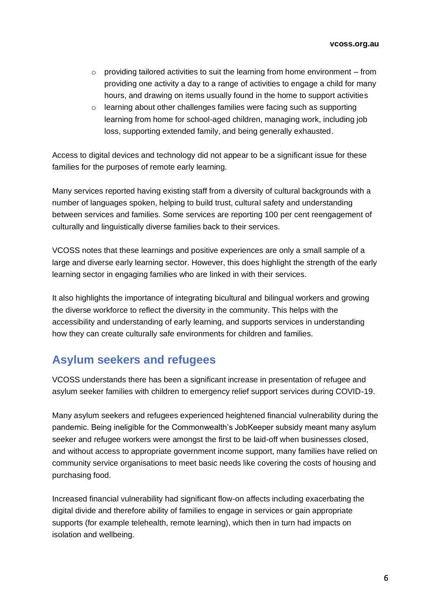- $\circ$  providing tailored activities to suit the learning from home environment from providing one activity a day to a range of activities to engage a child for many hours, and drawing on items usually found in the home to support activities
- o learning about other challenges families were facing such as supporting learning from home for school-aged children, managing work, including job loss, supporting extended family, and being generally exhausted.

Access to digital devices and technology did not appear to be a significant issue for these families for the purposes of remote early learning.

Many services reported having existing staff from a diversity of cultural backgrounds with a number of languages spoken, helping to build trust, cultural safety and understanding between services and families. Some services are reporting 100 per cent reengagement of culturally and linguistically diverse families back to their services.

VCOSS notes that these learnings and positive experiences are only a small sample of a large and diverse early learning sector. However, this does highlight the strength of the early learning sector in engaging families who are linked in with their services.

It also highlights the importance of integrating bicultural and bilingual workers and growing the diverse workforce to reflect the diversity in the community. This helps with the accessibility and understanding of early learning, and supports services in understanding how they can create culturally safe environments for children and families.

### **Asylum seekers and refugees**

VCOSS understands there has been a significant increase in presentation of refugee and asylum seeker families with children to emergency relief support services during COVID-19.

Many asylum seekers and refugees experienced heightened financial vulnerability during the pandemic. Being ineligible for the Commonwealth's JobKeeper subsidy meant many asylum seeker and refugee workers were amongst the first to be laid-off when businesses closed, and without access to appropriate government income support, many families have relied on community service organisations to meet basic needs like covering the costs of housing and purchasing food.

Increased financial vulnerability had significant flow-on affects including exacerbating the digital divide and therefore ability of families to engage in services or gain appropriate supports (for example telehealth, remote learning), which then in turn had impacts on isolation and wellbeing.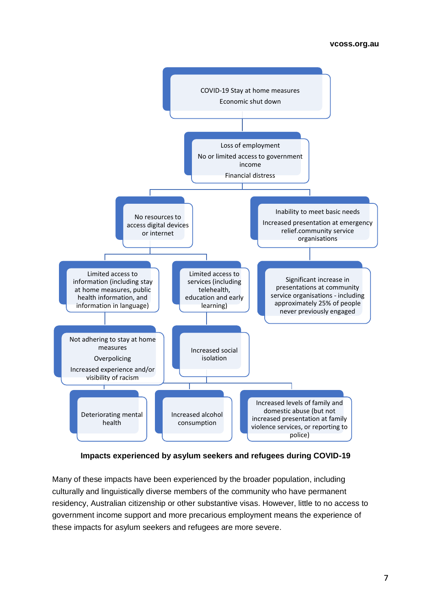

**Impacts experienced by asylum seekers and refugees during COVID-19**

Many of these impacts have been experienced by the broader population, including culturally and linguistically diverse members of the community who have permanent residency, Australian citizenship or other substantive visas. However, little to no access to government income support and more precarious employment means the experience of these impacts for asylum seekers and refugees are more severe.